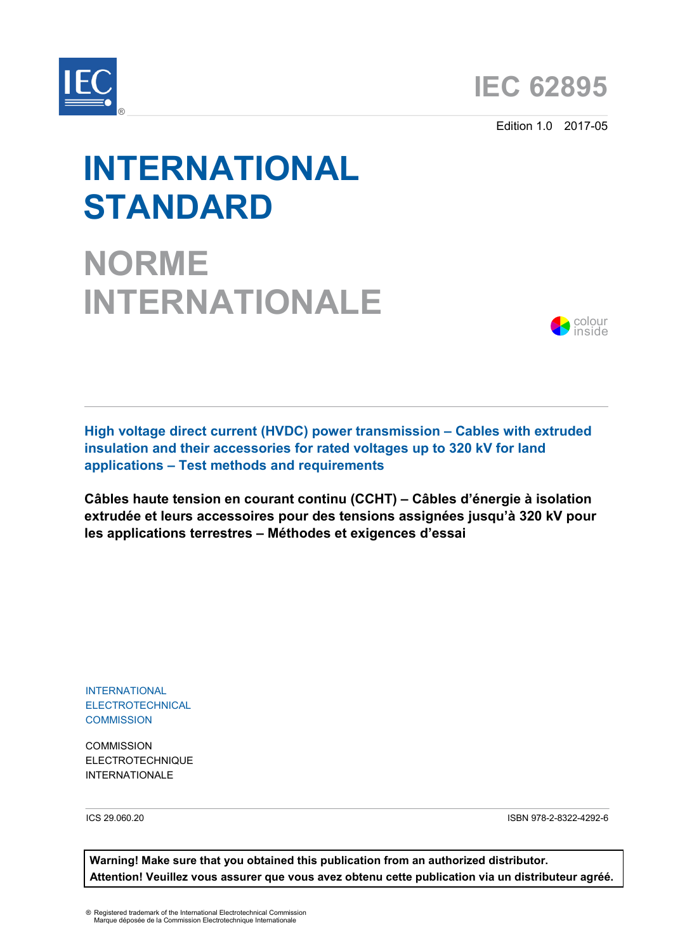

Edition 1.0 2017-05

# **INTERNATIONAL STANDARD**

# **NORME INTERNATIONALE**



**High voltage direct current (HVDC) power transmission – Cables with extruded insulation and their accessories for rated voltages up to 320 kV for land applications – Test methods and requirements**

**Câbles haute tension en courant continu (CCHT) – Câbles d'énergie à isolation extrudée et leurs accessoires pour des tensions assignées jusqu'à 320 kV pour les applications terrestres – Méthodes et exigences d'essai**

INTERNATIONAL **ELECTROTECHNICAL COMMISSION** 

**COMMISSION** ELECTROTECHNIQUE INTERNATIONALE

ICS 29.060.20 ISBN 978-2-8322-4292-6

**Warning! Make sure that you obtained this publication from an authorized distributor. Attention! Veuillez vous assurer que vous avez obtenu cette publication via un distributeur agréé.**

® Registered trademark of the International Electrotechnical Commission Marque déposée de la Commission Electrotechnique Internationale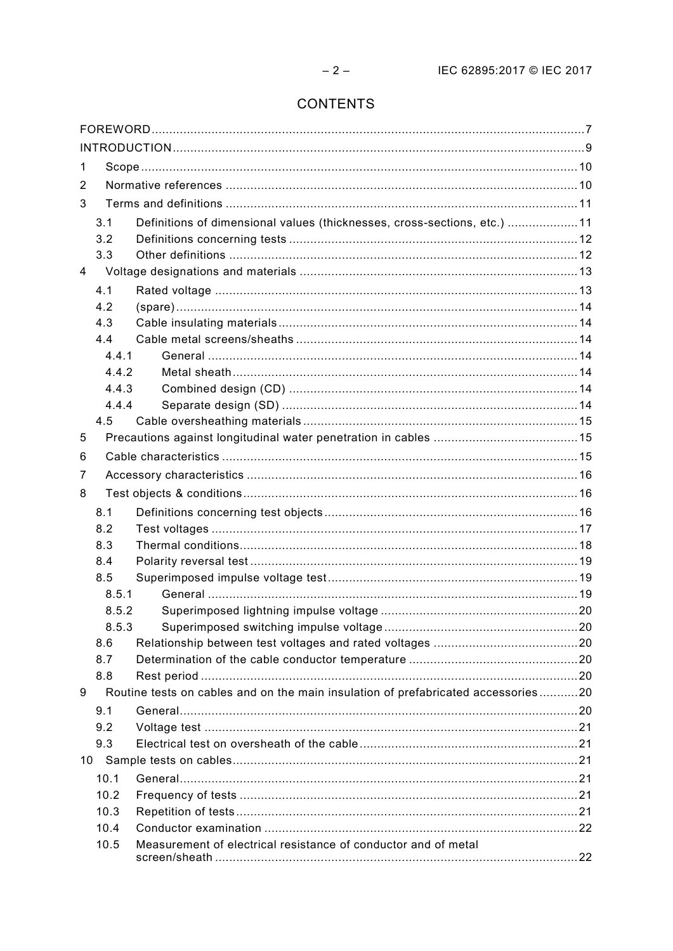# CONTENTS

| 1 |              |                                                                                   |  |
|---|--------------|-----------------------------------------------------------------------------------|--|
| 2 |              |                                                                                   |  |
| 3 |              |                                                                                   |  |
|   | 3.1          | Definitions of dimensional values (thicknesses, cross-sections, etc.) 11          |  |
|   | 3.2          |                                                                                   |  |
|   | 3.3          |                                                                                   |  |
| 4 |              |                                                                                   |  |
|   | 4.1          |                                                                                   |  |
|   | 4.2          |                                                                                   |  |
|   | 4.3          |                                                                                   |  |
|   | 4.4          |                                                                                   |  |
|   | 4.4.1        |                                                                                   |  |
|   | 4.4.2        |                                                                                   |  |
|   | 4.4.3        |                                                                                   |  |
|   | 4.4.4        |                                                                                   |  |
|   | 4.5          |                                                                                   |  |
| 5 |              |                                                                                   |  |
| 6 |              |                                                                                   |  |
| 7 |              |                                                                                   |  |
| 8 |              |                                                                                   |  |
|   | 8.1          |                                                                                   |  |
|   | 8.2          |                                                                                   |  |
|   | 8.3          |                                                                                   |  |
|   | 8.4          |                                                                                   |  |
|   | 8.5          |                                                                                   |  |
|   | 8.5.1        |                                                                                   |  |
|   | 8.5.2        |                                                                                   |  |
|   | 8.5.3        |                                                                                   |  |
|   | 8.6          |                                                                                   |  |
|   | 8.7          |                                                                                   |  |
|   | 8.8          |                                                                                   |  |
| 9 |              | Routine tests on cables and on the main insulation of prefabricated accessories20 |  |
|   | 9.1          |                                                                                   |  |
|   | 9.2          |                                                                                   |  |
|   | 9.3          |                                                                                   |  |
|   |              |                                                                                   |  |
|   | 10.1         |                                                                                   |  |
|   | 10.2         |                                                                                   |  |
|   | 10.3<br>10.4 |                                                                                   |  |
|   | 10.5         | Measurement of electrical resistance of conductor and of metal                    |  |
|   |              |                                                                                   |  |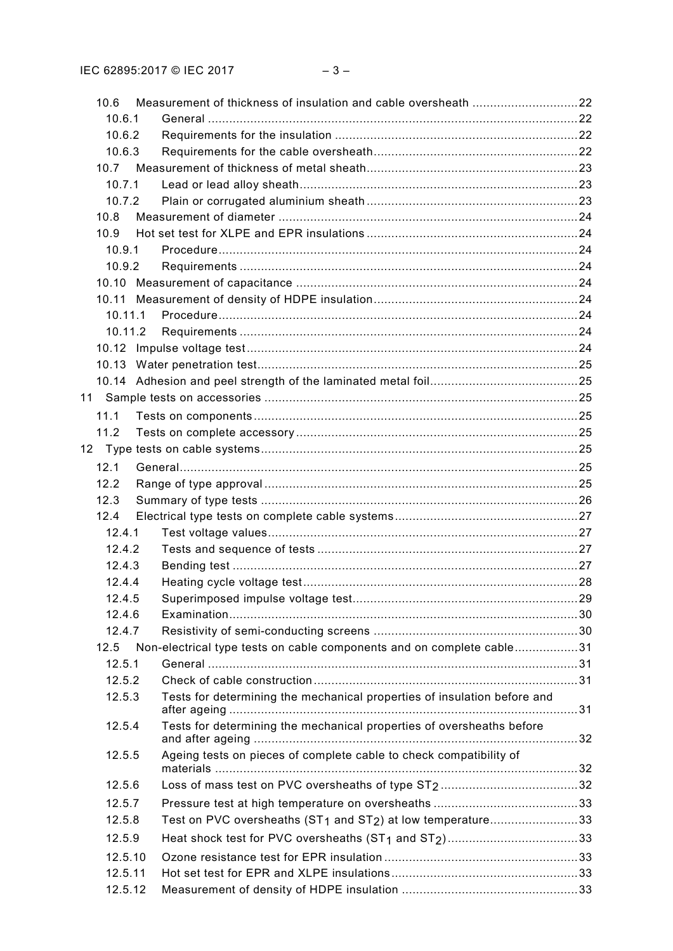| 10.6    | Measurement of thickness of insulation and cable oversheath 22                      |  |
|---------|-------------------------------------------------------------------------------------|--|
| 10.6.1  |                                                                                     |  |
| 10.6.2  |                                                                                     |  |
| 10.6.3  |                                                                                     |  |
| 10.7    |                                                                                     |  |
| 10.7.1  |                                                                                     |  |
| 10.7.2  |                                                                                     |  |
| 10.8    |                                                                                     |  |
| 10.9    |                                                                                     |  |
| 10.9.1  |                                                                                     |  |
| 10.9.2  |                                                                                     |  |
|         |                                                                                     |  |
| 10.11   |                                                                                     |  |
| 10.11.1 |                                                                                     |  |
| 10.11.2 |                                                                                     |  |
|         |                                                                                     |  |
|         |                                                                                     |  |
|         |                                                                                     |  |
|         |                                                                                     |  |
| 11.1    |                                                                                     |  |
| 11.2    |                                                                                     |  |
|         |                                                                                     |  |
| 12.1    |                                                                                     |  |
| 12.2    |                                                                                     |  |
| 12.3    |                                                                                     |  |
| 12.4    |                                                                                     |  |
| 12.4.1  |                                                                                     |  |
| 12.4.2  |                                                                                     |  |
| 12.4.3  |                                                                                     |  |
| 12.4.4  |                                                                                     |  |
| 12.4.5  |                                                                                     |  |
| 12.4.6  |                                                                                     |  |
| 12.4.7  |                                                                                     |  |
| 12.5    | Non-electrical type tests on cable components and on complete cable31               |  |
| 12.5.1  |                                                                                     |  |
| 12.5.2  |                                                                                     |  |
| 12.5.3  | Tests for determining the mechanical properties of insulation before and            |  |
| 12.5.4  | Tests for determining the mechanical properties of oversheaths before               |  |
| 12.5.5  | Ageing tests on pieces of complete cable to check compatibility of                  |  |
| 12.5.6  |                                                                                     |  |
| 12.5.7  |                                                                                     |  |
| 12.5.8  | Test on PVC oversheaths (ST <sub>1</sub> and ST <sub>2</sub> ) at low temperature33 |  |
| 12.5.9  |                                                                                     |  |
| 12.5.10 |                                                                                     |  |
| 12.5.11 |                                                                                     |  |
| 12.5.12 |                                                                                     |  |
|         |                                                                                     |  |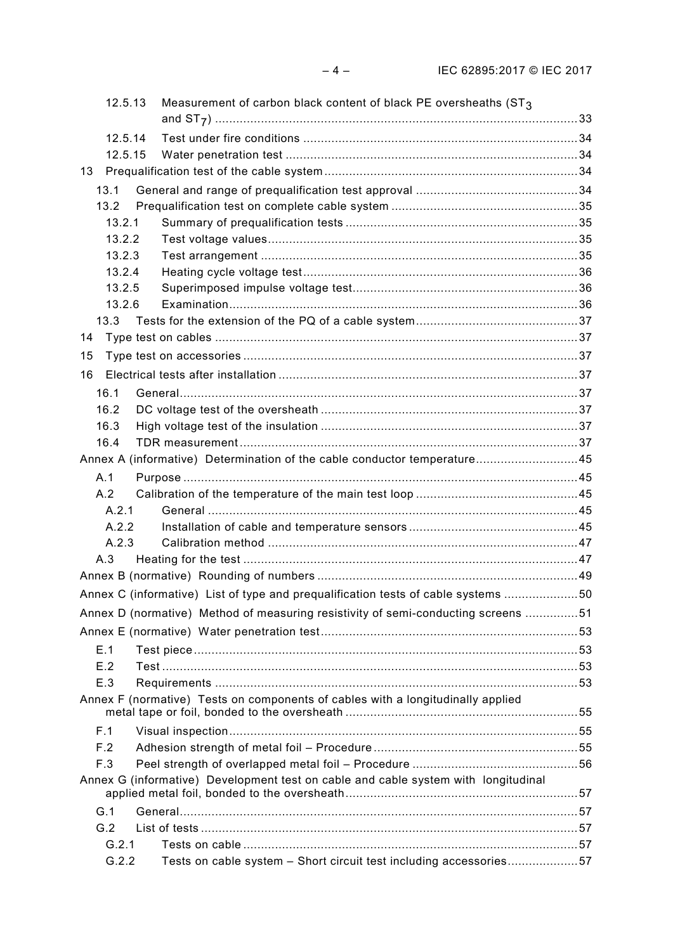| 12.5.13<br>Measurement of carbon black content of black PE oversheaths (ST3        |  |
|------------------------------------------------------------------------------------|--|
| 12.5.14                                                                            |  |
| 12.5.15                                                                            |  |
| 13                                                                                 |  |
| 13.1                                                                               |  |
| 13.2                                                                               |  |
| 13.2.1                                                                             |  |
| 13.2.2                                                                             |  |
| 13.2.3                                                                             |  |
| 13.2.4                                                                             |  |
| 13.2.5                                                                             |  |
| 13.2.6                                                                             |  |
| 13.3                                                                               |  |
| 14                                                                                 |  |
| 15                                                                                 |  |
| 16                                                                                 |  |
| 16.1                                                                               |  |
| 16.2                                                                               |  |
| 16.3                                                                               |  |
| 16.4                                                                               |  |
| Annex A (informative) Determination of the cable conductor temperature45           |  |
| A.1                                                                                |  |
| A.2                                                                                |  |
| A.2.1                                                                              |  |
| A.2.2                                                                              |  |
| A.2.3                                                                              |  |
| A.3                                                                                |  |
|                                                                                    |  |
| Annex C (informative) List of type and prequalification tests of cable systems 50  |  |
| Annex D (normative) Method of measuring resistivity of semi-conducting screens 51  |  |
|                                                                                    |  |
|                                                                                    |  |
| E.1                                                                                |  |
| E.2                                                                                |  |
| E.3                                                                                |  |
| Annex F (normative) Tests on components of cables with a longitudinally applied    |  |
| F.1                                                                                |  |
| F.2                                                                                |  |
| F.3                                                                                |  |
| Annex G (informative) Development test on cable and cable system with longitudinal |  |
|                                                                                    |  |
| G.1                                                                                |  |
| G.2                                                                                |  |
| G.2.1                                                                              |  |
| Tests on cable system - Short circuit test including accessories57<br>G.2.2        |  |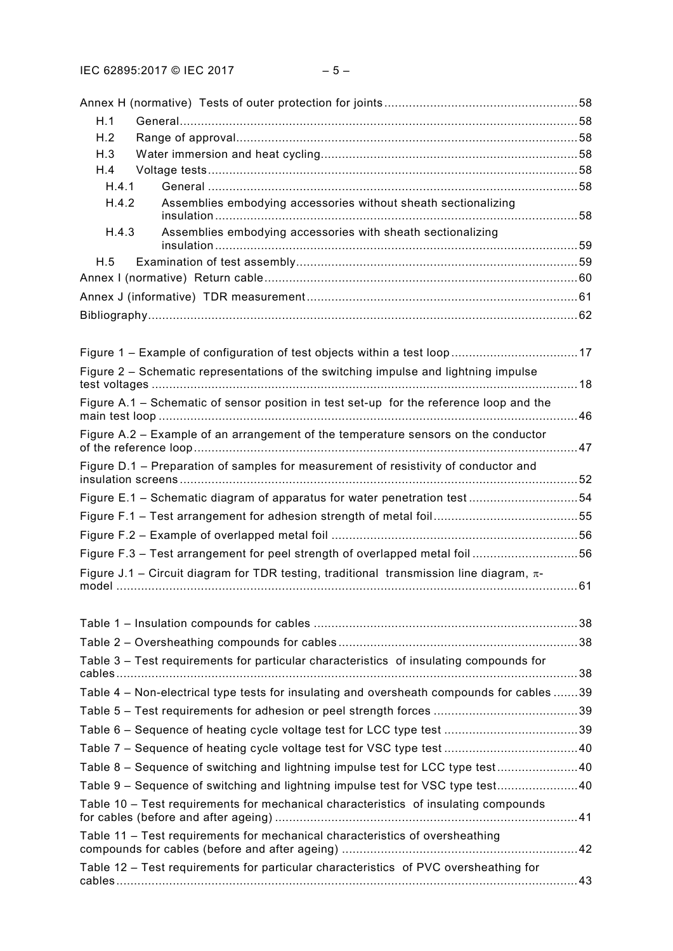| H.1                                                                                          |  |
|----------------------------------------------------------------------------------------------|--|
| H.2                                                                                          |  |
| H.3                                                                                          |  |
| H.4                                                                                          |  |
| H.4.1                                                                                        |  |
| Assemblies embodying accessories without sheath sectionalizing<br>H.4.2                      |  |
| Assemblies embodying accessories with sheath sectionalizing<br>H.4.3                         |  |
| H.5                                                                                          |  |
|                                                                                              |  |
|                                                                                              |  |
|                                                                                              |  |
| Figure 1 - Example of configuration of test objects within a test loop17                     |  |
| Figure 2 - Schematic representations of the switching impulse and lightning impulse          |  |
| Figure A.1 - Schematic of sensor position in test set-up for the reference loop and the      |  |
| Figure A.2 - Example of an arrangement of the temperature sensors on the conductor           |  |
| Figure D.1 - Preparation of samples for measurement of resistivity of conductor and          |  |
| Figure E.1 - Schematic diagram of apparatus for water penetration test 54                    |  |
|                                                                                              |  |
|                                                                                              |  |
|                                                                                              |  |
| Figure F.3 - Test arrangement for peel strength of overlapped metal foil56                   |  |
| Figure J.1 - Circuit diagram for TDR testing, traditional transmission line diagram, $\pi$ - |  |
|                                                                                              |  |
|                                                                                              |  |
| Table 3 - Test requirements for particular characteristics of insulating compounds for       |  |
| Table 4 – Non-electrical type tests for insulating and oversheath compounds for cables 39    |  |
|                                                                                              |  |
|                                                                                              |  |
|                                                                                              |  |
|                                                                                              |  |
| Table 8 - Sequence of switching and lightning impulse test for LCC type test40               |  |
| Table 9 - Sequence of switching and lightning impulse test for VSC type test40               |  |
| Table 10 - Test requirements for mechanical characteristics of insulating compounds          |  |
| Table 11 - Test requirements for mechanical characteristics of oversheathing                 |  |
| Table 12 - Test requirements for particular characteristics of PVC oversheathing for         |  |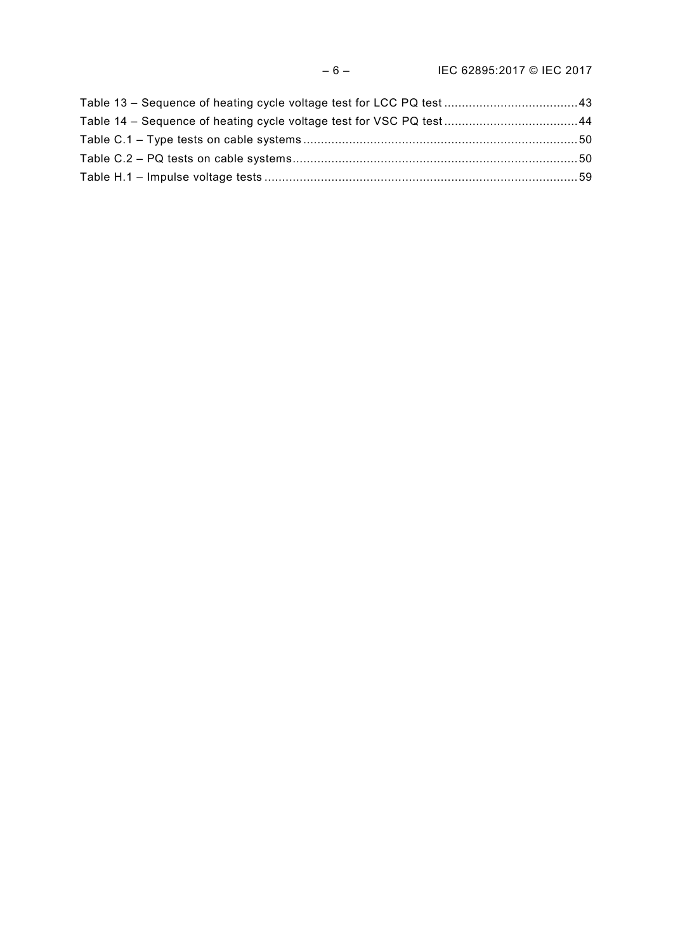| Table 14 - Sequence of heating cycle voltage test for VSC PQ test44 |  |
|---------------------------------------------------------------------|--|
|                                                                     |  |
|                                                                     |  |
|                                                                     |  |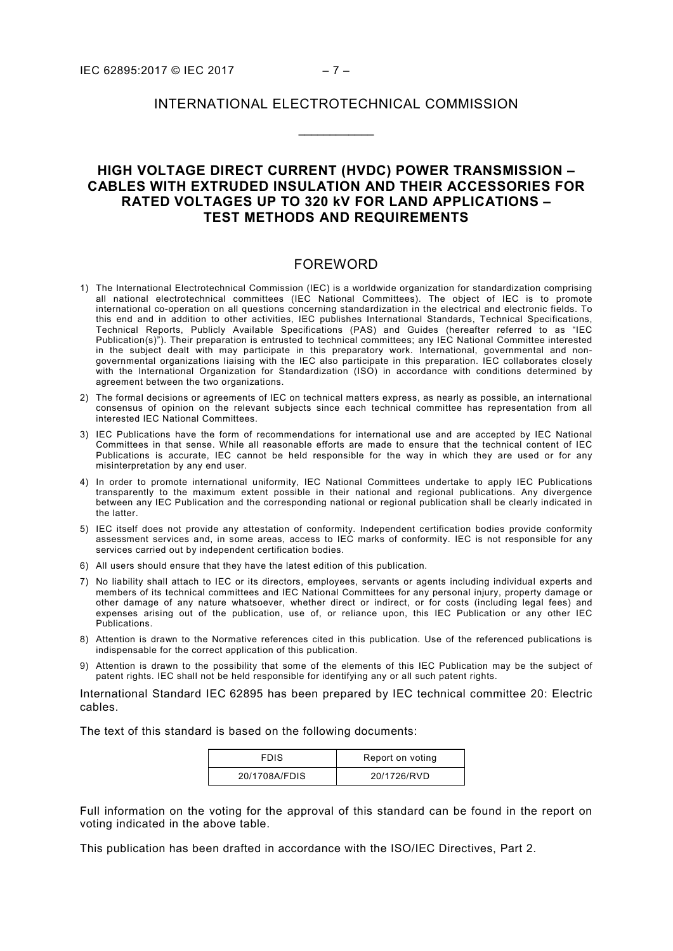#### INTERNATIONAL ELECTROTECHNICAL COMMISSION

\_\_\_\_\_\_\_\_\_\_\_\_

## **HIGH VOLTAGE DIRECT CURRENT (HVDC) POWER TRANSMISSION – CABLES WITH EXTRUDED INSULATION AND THEIR ACCESSORIES FOR RATED VOLTAGES UP TO 320 kV FOR LAND APPLICATIONS – TEST METHODS AND REQUIREMENTS**

#### FOREWORD

- <span id="page-6-0"></span>1) The International Electrotechnical Commission (IEC) is a worldwide organization for standardization comprising all national electrotechnical committees (IEC National Committees). The object of IEC is to promote international co-operation on all questions concerning standardization in the electrical and electronic fields. To this end and in addition to other activities, IEC publishes International Standards, Technical Specifications, Technical Reports, Publicly Available Specifications (PAS) and Guides (hereafter referred to as "IEC Publication(s)"). Their preparation is entrusted to technical committees; any IEC National Committee interested in the subject dealt with may participate in this preparatory work. International, governmental and nongovernmental organizations liaising with the IEC also participate in this preparation. IEC collaborates closely with the International Organization for Standardization (ISO) in accordance with conditions determined by agreement between the two organizations.
- 2) The formal decisions or agreements of IEC on technical matters express, as nearly as possible, an international consensus of opinion on the relevant subjects since each technical committee has representation from all interested IEC National Committees.
- 3) IEC Publications have the form of recommendations for international use and are accepted by IEC National Committees in that sense. While all reasonable efforts are made to ensure that the technical content of IEC Publications is accurate, IEC cannot be held responsible for the way in which they are used or for any misinterpretation by any end user.
- 4) In order to promote international uniformity, IEC National Committees undertake to apply IEC Publications transparently to the maximum extent possible in their national and regional publications. Any divergence between any IEC Publication and the corresponding national or regional publication shall be clearly indicated in the latter.
- 5) IEC itself does not provide any attestation of conformity. Independent certification bodies provide conformity assessment services and, in some areas, access to IEC marks of conformity. IEC is not responsible for any services carried out by independent certification bodies.
- 6) All users should ensure that they have the latest edition of this publication.
- 7) No liability shall attach to IEC or its directors, employees, servants or agents including individual experts and members of its technical committees and IEC National Committees for any personal injury, property damage or other damage of any nature whatsoever, whether direct or indirect, or for costs (including legal fees) and expenses arising out of the publication, use of, or reliance upon, this IEC Publication or any other IEC Publications.
- 8) Attention is drawn to the Normative references cited in this publication. Use of the referenced publications is indispensable for the correct application of this publication.
- 9) Attention is drawn to the possibility that some of the elements of this IEC Publication may be the subject of patent rights. IEC shall not be held responsible for identifying any or all such patent rights.

International Standard IEC 62895 has been prepared by IEC technical committee 20: Electric cables.

The text of this standard is based on the following documents:

| <b>FDIS</b>   | Report on voting |
|---------------|------------------|
| 20/1708A/FDIS | 20/1726/RVD      |

Full information on the voting for the approval of this standard can be found in the report on voting indicated in the above table.

This publication has been drafted in accordance with the ISO/IEC Directives, Part 2.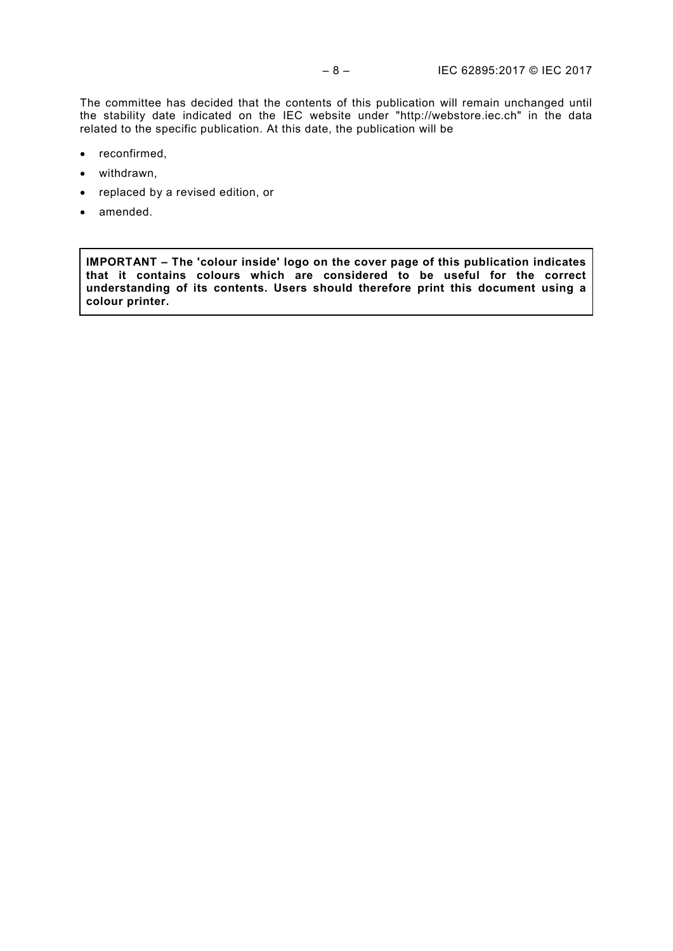The committee has decided that the contents of this publication will remain unchanged until the stability date indicated on the IEC website under "http://webstore.iec.ch" in the data related to the specific publication. At this date, the publication will be

- reconfirmed,
- withdrawn,
- replaced by a revised edition, or
- amended.

**IMPORTANT – The 'colour inside' logo on the cover page of this publication indicates that it contains colours which are considered to be useful for the correct understanding of its contents. Users should therefore print this document using a colour printer.**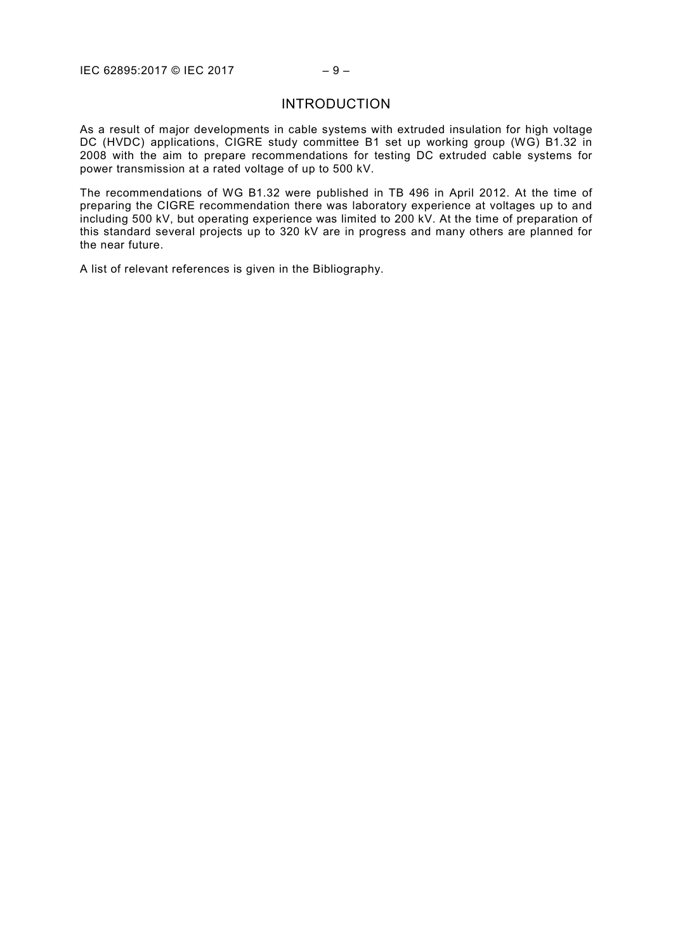#### INTRODUCTION

<span id="page-8-0"></span>As a result of major developments in cable systems with extruded insulation for high voltage DC (HVDC) applications, CIGRE study committee B1 set up working group (WG) B1.32 in 2008 with the aim to prepare recommendations for testing DC extruded cable systems for power transmission at a rated voltage of up to 500 kV.

The recommendations of WG B1.32 were published in TB 496 in April 2012. At the time of preparing the CIGRE recommendation there was laboratory experience at voltages up to and including 500 kV, but operating experience was limited to 200 kV. At the time of preparation of this standard several projects up to 320 kV are in progress and many others are planned for the near future.

A list of relevant references is given in the Bibliography.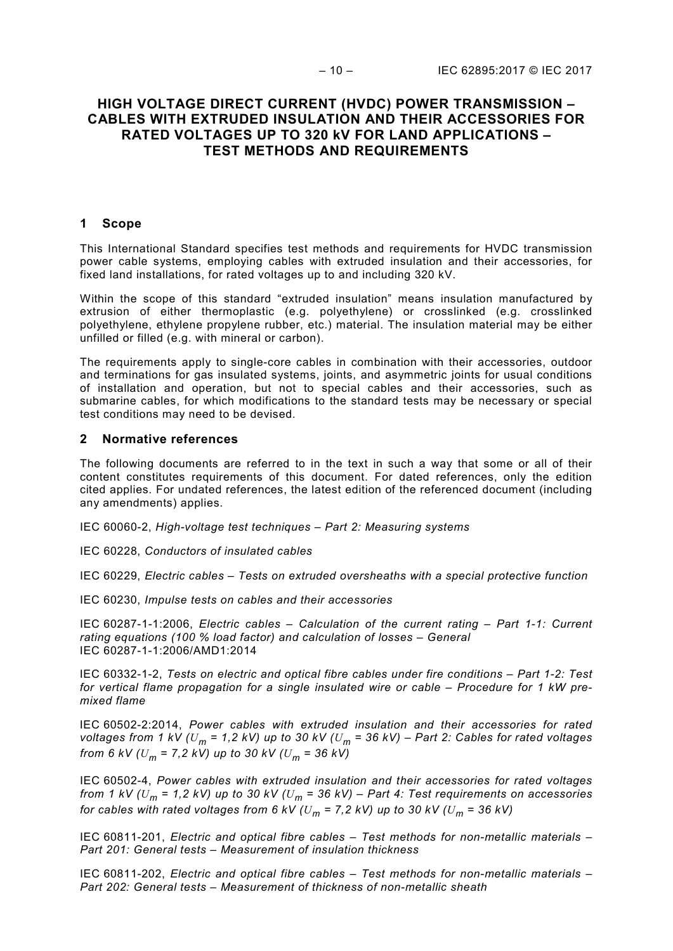## **HIGH VOLTAGE DIRECT CURRENT (HVDC) POWER TRANSMISSION – CABLES WITH EXTRUDED INSULATION AND THEIR ACCESSORIES FOR RATED VOLTAGES UP TO 320 kV FOR LAND APPLICATIONS – TEST METHODS AND REQUIREMENTS**

#### <span id="page-9-0"></span>**1 Scope**

This International Standard specifies test methods and requirements for HVDC transmission power cable systems, employing cables with extruded insulation and their accessories, for fixed land installations, for rated voltages up to and including 320 kV.

Within the scope of this standard "extruded insulation" means insulation manufactured by extrusion of either thermoplastic (e.g. polyethylene) or crosslinked (e.g. crosslinked polyethylene, ethylene propylene rubber, etc.) material. The insulation material may be either unfilled or filled (e.g. with mineral or carbon).

The requirements apply to single-core cables in combination with their accessories, outdoor and terminations for gas insulated systems, joints, and asymmetric joints for usual conditions of installation and operation, but not to special cables and their accessories, such as submarine cables, for which modifications to the standard tests may be necessary or special test conditions may need to be devised.

#### <span id="page-9-1"></span>**2 Normative references**

The following documents are referred to in the text in such a way that some or all of their content constitutes requirements of this document. For dated references, only the edition cited applies. For undated references, the latest edition of the referenced document (including any amendments) applies.

IEC 60060-2, *High-voltage test techniques – Part 2: Measuring systems*

IEC 60228, *Conductors of insulated cables*

IEC 60229, *Electric cables – Tests on extruded oversheaths with a special protective function*

IEC 60230, *Impulse tests on cables and their accessories*

IEC 60287-1-1:2006, *Electric cables – Calculation of the current rating – Part 1-1: Current rating equations (100 % load factor) and calculation of losses – General* IEC 60287-1-1:2006/AMD1:2014

IEC 60332-1-2, *Tests on electric and optical fibre cables under fire conditions – Part 1-2: Test for vertical flame propagation for a single insulated wire or cable – Procedure for 1 kW premixed flame*

IEC 60502-2:2014, *Power cables with extruded insulation and their accessories for rated voltages from 1 kV (U<sup>m</sup> = 1,2 kV) up to 30 kV (U<sup>m</sup> = 36 kV) – Part 2: Cables for rated voltages from 6 kV (* $U_m$  *= 7,2 kV) up to 30 kV (* $U_m$  *= 36 kV)* 

IEC 60502-4, *Power cables with extruded insulation and their accessories for rated voltages from 1 kV (U<sup>m</sup> = 1,2 kV) up to 30 kV (U<sup>m</sup> = 36 kV) – Part 4: Test requirements on accessories for cables with rated voltages from 6 kV (* $U_m$  *= 7,2 kV) up to 30 kV (* $U_m$  *= 36 kV)* 

IEC 60811-201, *Electric and optical fibre cables – Test methods for non-metallic materials – Part 201: General tests – Measurement of insulation thickness*

IEC 60811-202, *Electric and optical fibre cables – Test methods for non-metallic materials – Part 202: General tests – Measurement of thickness of non-metallic sheath*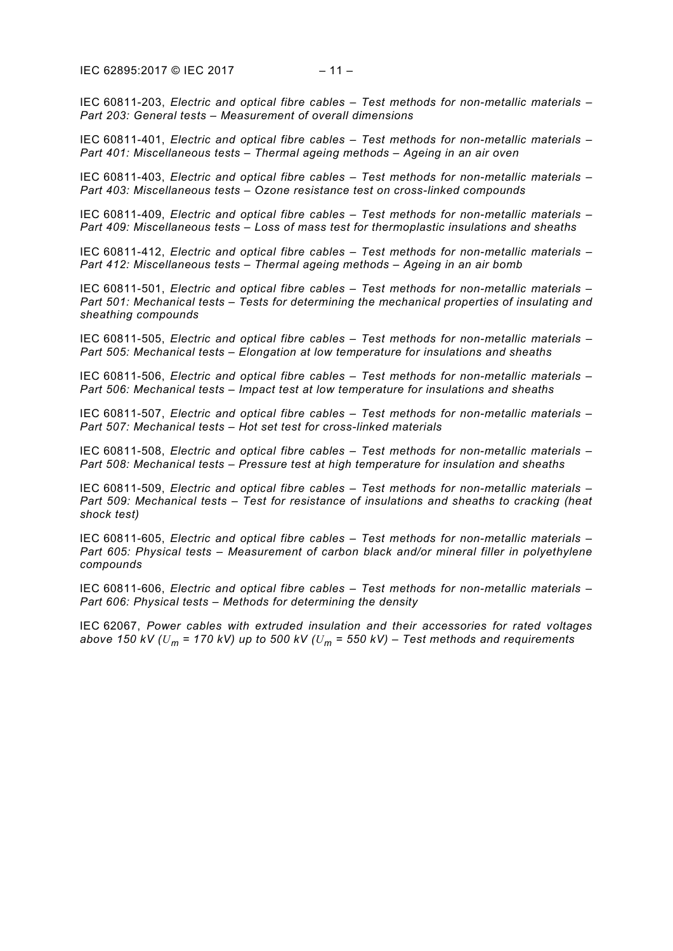IEC 62895:2017 © IEC 2017 – 11 –

IEC 60811-203, *Electric and optical fibre cables – Test methods for non-metallic materials – Part 203: General tests – Measurement of overall dimensions*

IEC 60811-401, *Electric and optical fibre cables – Test methods for non-metallic materials – Part 401: Miscellaneous tests – Thermal ageing methods – Ageing in an air oven*

IEC 60811-403, *Electric and optical fibre cables – Test methods for non-metallic materials – Part 403: Miscellaneous tests – Ozone resistance test on cross-linked compounds*

IEC 60811-409, *Electric and optical fibre cables – Test methods for non-metallic materials – Part 409: Miscellaneous tests – Loss of mass test for thermoplastic insulations and sheaths*

IEC 60811-412, *Electric and optical fibre cables – Test methods for non-metallic materials – Part 412: Miscellaneous tests – Thermal ageing methods – Ageing in an air bomb*

IEC 60811-501, *Electric and optical fibre cables – Test methods for non-metallic materials – Part 501: Mechanical tests – Tests for determining the mechanical properties of insulating and sheathing compounds*

IEC 60811-505, *Electric and optical fibre cables – Test methods for non-metallic materials – Part 505: Mechanical tests – Elongation at low temperature for insulations and sheaths*

IEC 60811-506, *Electric and optical fibre cables – Test methods for non-metallic materials – Part 506: Mechanical tests – Impact test at low temperature for insulations and sheaths*

IEC 60811-507, *Electric and optical fibre cables – Test methods for non-metallic materials – Part 507: Mechanical tests – Hot set test for cross-linked materials*

IEC 60811-508, *Electric and optical fibre cables – Test methods for non-metallic materials – Part 508: Mechanical tests – Pressure test at high temperature for insulation and sheaths*

IEC 60811-509, *Electric and optical fibre cables – Test methods for non-metallic materials – Part 509: Mechanical tests – Test for resistance of insulations and sheaths to cracking (heat shock test)*

IEC 60811-605, *Electric and optical fibre cables – Test methods for non-metallic materials – Part 605: Physical tests – Measurement of carbon black and/or mineral filler in polyethylene compounds*

IEC 60811-606, *Electric and optical fibre cables – Test methods for non-metallic materials – Part 606: Physical tests – Methods for determining the density*

<span id="page-10-1"></span><span id="page-10-0"></span>IEC 62067, *Power cables with extruded insulation and their accessories for rated voltages*  above 150 kV ( $U_m$  = 170 kV) up to 500 kV ( $U_m$  = 550 kV) – Test methods and requirements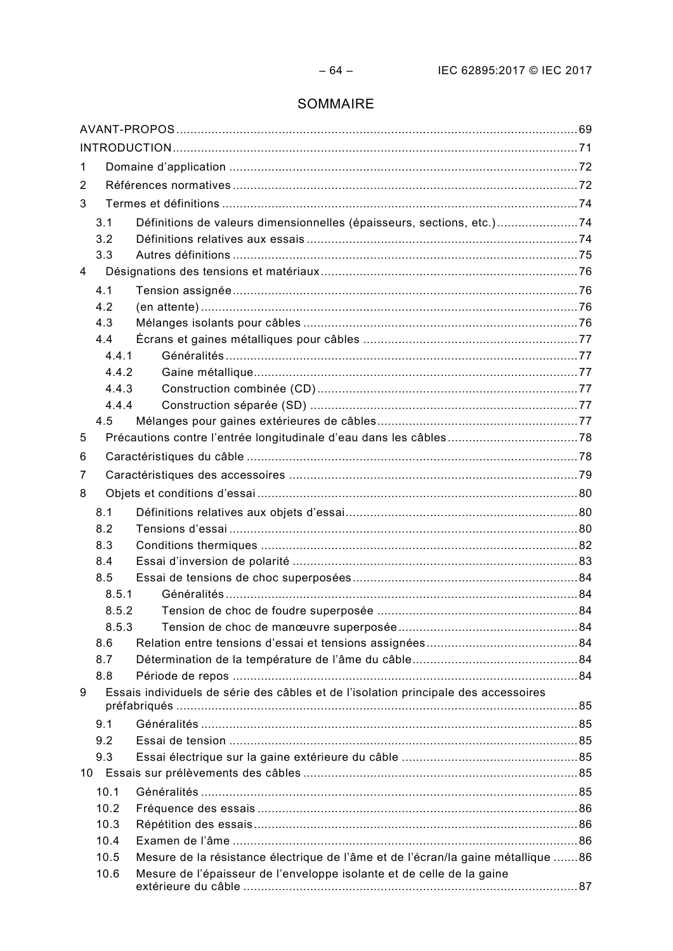| 1 |       |                                                                                     |  |
|---|-------|-------------------------------------------------------------------------------------|--|
| 2 |       |                                                                                     |  |
| 3 |       |                                                                                     |  |
|   | 3.1   | Définitions de valeurs dimensionnelles (épaisseurs, sections, etc.)74               |  |
|   | 3.2   |                                                                                     |  |
|   | 3.3   |                                                                                     |  |
| 4 |       |                                                                                     |  |
|   | 4.1   |                                                                                     |  |
|   | 4.2   |                                                                                     |  |
|   | 4.3   |                                                                                     |  |
|   | 4.4   |                                                                                     |  |
|   | 4.4.1 |                                                                                     |  |
|   | 4.4.2 |                                                                                     |  |
|   | 4.4.3 |                                                                                     |  |
|   | 4.4.4 |                                                                                     |  |
|   | 4.5   |                                                                                     |  |
| 5 |       |                                                                                     |  |
| 6 |       |                                                                                     |  |
| 7 |       |                                                                                     |  |
| 8 |       |                                                                                     |  |
|   | 8.1   |                                                                                     |  |
|   | 8.2   |                                                                                     |  |
|   | 8.3   |                                                                                     |  |
|   | 8.4   |                                                                                     |  |
|   | 8.5   |                                                                                     |  |
|   | 8.5.1 |                                                                                     |  |
|   | 8.5.2 |                                                                                     |  |
|   | 8.5.3 |                                                                                     |  |
|   | 8.6   |                                                                                     |  |
|   | 8.7   |                                                                                     |  |
|   | 8.8   |                                                                                     |  |
| 9 |       | Essais individuels de série des câbles et de l'isolation principale des accessoires |  |
|   | 9.1   |                                                                                     |  |
|   | 9.2   |                                                                                     |  |
|   | 9.3   |                                                                                     |  |
|   |       |                                                                                     |  |
|   | 10.1  |                                                                                     |  |
|   | 10.2  |                                                                                     |  |
|   | 10.3  |                                                                                     |  |
|   | 10.4  |                                                                                     |  |
|   | 10.5  | Mesure de la résistance électrique de l'âme et de l'écran/la gaine métallique 86    |  |
|   | 10.6  | Mesure de l'épaisseur de l'enveloppe isolante et de celle de la gaine               |  |
|   |       |                                                                                     |  |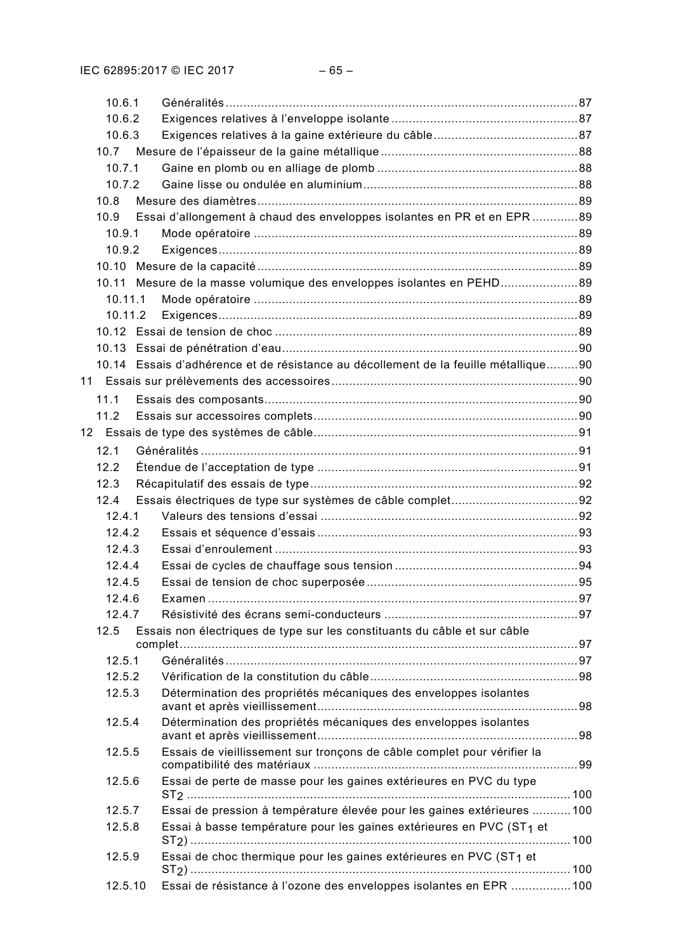| 10.6.1  |                                                                                     |  |
|---------|-------------------------------------------------------------------------------------|--|
| 10.6.2  |                                                                                     |  |
| 10.6.3  |                                                                                     |  |
| 10.7    |                                                                                     |  |
| 10.7.1  |                                                                                     |  |
| 10.7.2  |                                                                                     |  |
| 10.8    |                                                                                     |  |
| 10.9    | Essai d'allongement à chaud des enveloppes isolantes en PR et en EPR 89             |  |
| 10.9.1  |                                                                                     |  |
| 10.9.2  |                                                                                     |  |
|         |                                                                                     |  |
|         | 10.11 Mesure de la masse volumique des enveloppes isolantes en PEHD89               |  |
| 10.11.1 |                                                                                     |  |
| 10.11.2 |                                                                                     |  |
|         |                                                                                     |  |
|         |                                                                                     |  |
|         | 10.14 Essais d'adhérence et de résistance au décollement de la feuille métallique90 |  |
|         |                                                                                     |  |
| 11.1    |                                                                                     |  |
| 11.2    |                                                                                     |  |
|         |                                                                                     |  |
|         |                                                                                     |  |
| 12.1    |                                                                                     |  |
| 12.2    |                                                                                     |  |
| 12.3    |                                                                                     |  |
| 12.4    |                                                                                     |  |
| 12.4.1  |                                                                                     |  |
| 12.4.2  |                                                                                     |  |
| 12.4.3  |                                                                                     |  |
| 12.4.4  |                                                                                     |  |
| 12.4.5  |                                                                                     |  |
| 12.4.6  | Examen                                                                              |  |
| 12.4.7  |                                                                                     |  |
| 12.5    | Essais non électriques de type sur les constituants du câble et sur câble           |  |
|         |                                                                                     |  |
| 12.5.1  |                                                                                     |  |
| 12.5.2  |                                                                                     |  |
| 12.5.3  | Détermination des propriétés mécaniques des enveloppes isolantes                    |  |
| 12.5.4  | Détermination des propriétés mécaniques des enveloppes isolantes                    |  |
| 12.5.5  | Essais de vieillissement sur tronçons de câble complet pour vérifier la             |  |
| 12.5.6  | Essai de perte de masse pour les gaines extérieures en PVC du type                  |  |
| 12.5.7  | Essai de pression à température élevée pour les gaines extérieures  100             |  |
| 12.5.8  | Essai à basse température pour les gaines extérieures en PVC (ST1 et                |  |
|         |                                                                                     |  |
| 12.5.9  | Essai de choc thermique pour les gaines extérieures en PVC (ST1 et                  |  |
| 12.5.10 | Essai de résistance à l'ozone des enveloppes isolantes en EPR  100                  |  |
|         |                                                                                     |  |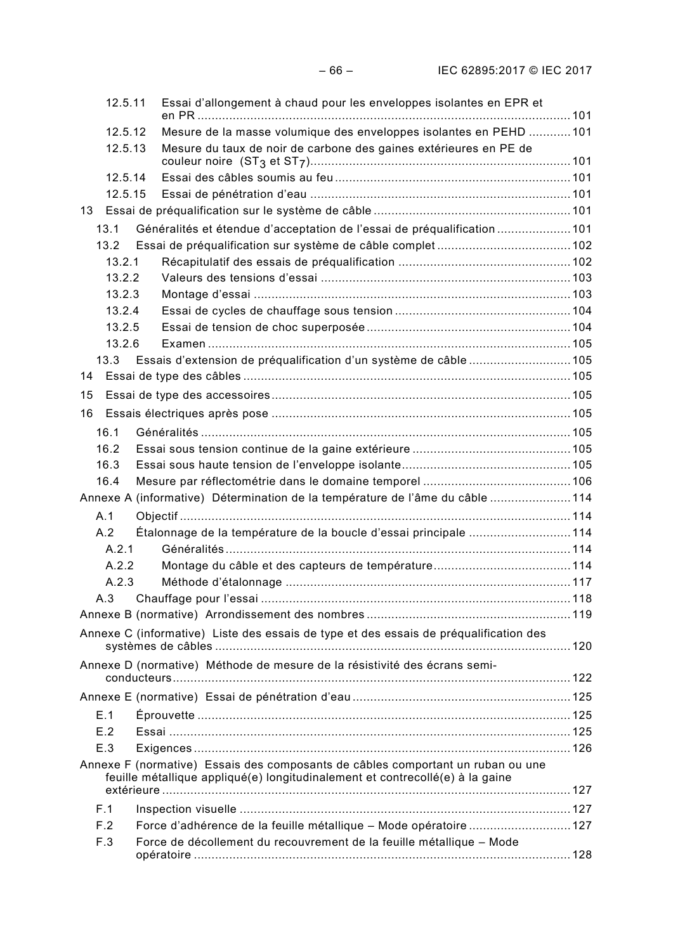| 12.5.11 | Essai d'allongement à chaud pour les enveloppes isolantes en EPR et                                                                                              |       |
|---------|------------------------------------------------------------------------------------------------------------------------------------------------------------------|-------|
| 12.5.12 | Mesure de la masse volumique des enveloppes isolantes en PEHD  101                                                                                               |       |
| 12.5.13 | Mesure du taux de noir de carbone des gaines extérieures en PE de                                                                                                |       |
| 12.5.14 |                                                                                                                                                                  |       |
| 12.5.15 |                                                                                                                                                                  |       |
| 13      |                                                                                                                                                                  |       |
| 13.1    | Généralités et étendue d'acceptation de l'essai de préqualification  101                                                                                         |       |
| 13.2    |                                                                                                                                                                  |       |
| 13.2.1  |                                                                                                                                                                  |       |
| 13.2.2  |                                                                                                                                                                  |       |
| 13.2.3  |                                                                                                                                                                  |       |
| 13.2.4  |                                                                                                                                                                  |       |
| 13.2.5  |                                                                                                                                                                  |       |
| 13.2.6  |                                                                                                                                                                  |       |
| 13.3    | Essais d'extension de préqualification d'un système de câble 105                                                                                                 |       |
| 14      |                                                                                                                                                                  |       |
| 15      |                                                                                                                                                                  |       |
| 16      |                                                                                                                                                                  |       |
| 16.1    |                                                                                                                                                                  |       |
| 16.2    |                                                                                                                                                                  |       |
| 16.3    |                                                                                                                                                                  |       |
| 16.4    |                                                                                                                                                                  |       |
|         | Annexe A (informative) Détermination de la température de l'âme du câble 114                                                                                     |       |
| A.1     |                                                                                                                                                                  |       |
| A.2     | Étalonnage de la température de la boucle d'essai principale 114                                                                                                 |       |
| A.2.1   |                                                                                                                                                                  |       |
| A.2.2   |                                                                                                                                                                  |       |
| A.2.3   |                                                                                                                                                                  |       |
|         |                                                                                                                                                                  | . 118 |
|         |                                                                                                                                                                  |       |
|         | Annexe C (informative) Liste des essais de type et des essais de préqualification des                                                                            |       |
|         |                                                                                                                                                                  |       |
|         | Annexe D (normative) Méthode de mesure de la résistivité des écrans semi-                                                                                        |       |
|         |                                                                                                                                                                  |       |
| E.1     |                                                                                                                                                                  |       |
| E.2     |                                                                                                                                                                  |       |
| E.3     |                                                                                                                                                                  |       |
|         | Annexe F (normative) Essais des composants de câbles comportant un ruban ou une<br>feuille métallique appliqué(e) longitudinalement et contrecollé(e) à la gaine |       |
|         |                                                                                                                                                                  |       |
| F.1     |                                                                                                                                                                  |       |
| F.2     | Force d'adhérence de la feuille métallique - Mode opératoire  127                                                                                                |       |
| F.3     | Force de décollement du recouvrement de la feuille métallique - Mode                                                                                             |       |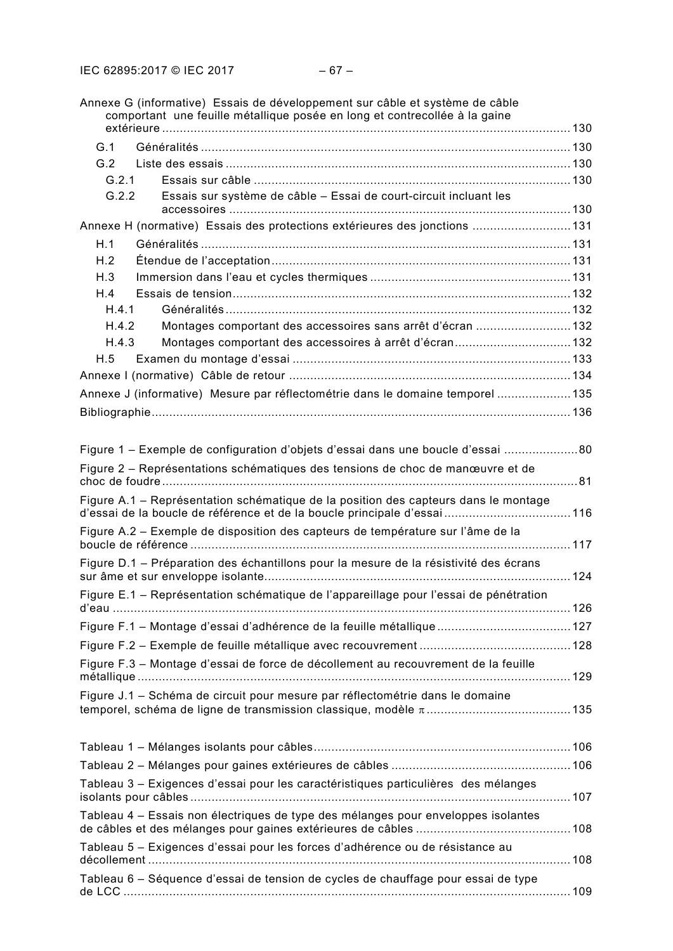| Annexe G (informative) Essais de développement sur câble et système de câble<br>comportant une feuille métallique posée en long et contrecollée à la gaine |  |
|------------------------------------------------------------------------------------------------------------------------------------------------------------|--|
| G.1                                                                                                                                                        |  |
| G.2                                                                                                                                                        |  |
| G.2.1                                                                                                                                                      |  |
| G.2.2<br>Essais sur système de câble - Essai de court-circuit incluant les                                                                                 |  |
| Annexe H (normative) Essais des protections extérieures des jonctions 131                                                                                  |  |
| H.1                                                                                                                                                        |  |
| H.2                                                                                                                                                        |  |
| H.3                                                                                                                                                        |  |
| H.4                                                                                                                                                        |  |
| H.4.1                                                                                                                                                      |  |
| Montages comportant des accessoires sans arrêt d'écran  132<br>H.4.2                                                                                       |  |
| H.4.3                                                                                                                                                      |  |
| H.5                                                                                                                                                        |  |
|                                                                                                                                                            |  |
| Annexe J (informative) Mesure par réflectométrie dans le domaine temporel  135                                                                             |  |
|                                                                                                                                                            |  |
| Figure 1 – Exemple de configuration d'objets d'essai dans une boucle d'essai 80                                                                            |  |
| Figure 2 - Représentations schématiques des tensions de choc de manœuvre et de                                                                             |  |
| Figure A.1 – Représentation schématique de la position des capteurs dans le montage                                                                        |  |
| Figure A.2 – Exemple de disposition des capteurs de température sur l'âme de la                                                                            |  |
| Figure D.1 - Préparation des échantillons pour la mesure de la résistivité des écrans                                                                      |  |
| Figure E.1 - Représentation schématique de l'appareillage pour l'essai de pénétration                                                                      |  |
| Figure F.1 - Montage d'essai d'adhérence de la feuille métallique 127                                                                                      |  |
|                                                                                                                                                            |  |
| Figure F.3 – Montage d'essai de force de décollement au recouvrement de la feuille                                                                         |  |
| Figure J.1 - Schéma de circuit pour mesure par réflectométrie dans le domaine                                                                              |  |
|                                                                                                                                                            |  |
|                                                                                                                                                            |  |
| Tableau 3 – Exigences d'essai pour les caractéristiques particulières des mélanges                                                                         |  |
| Tableau 4 - Essais non électriques de type des mélanges pour enveloppes isolantes                                                                          |  |
| Tableau 5 - Exigences d'essai pour les forces d'adhérence ou de résistance au                                                                              |  |
| Tableau 6 – Séquence d'essai de tension de cycles de chauffage pour essai de type                                                                          |  |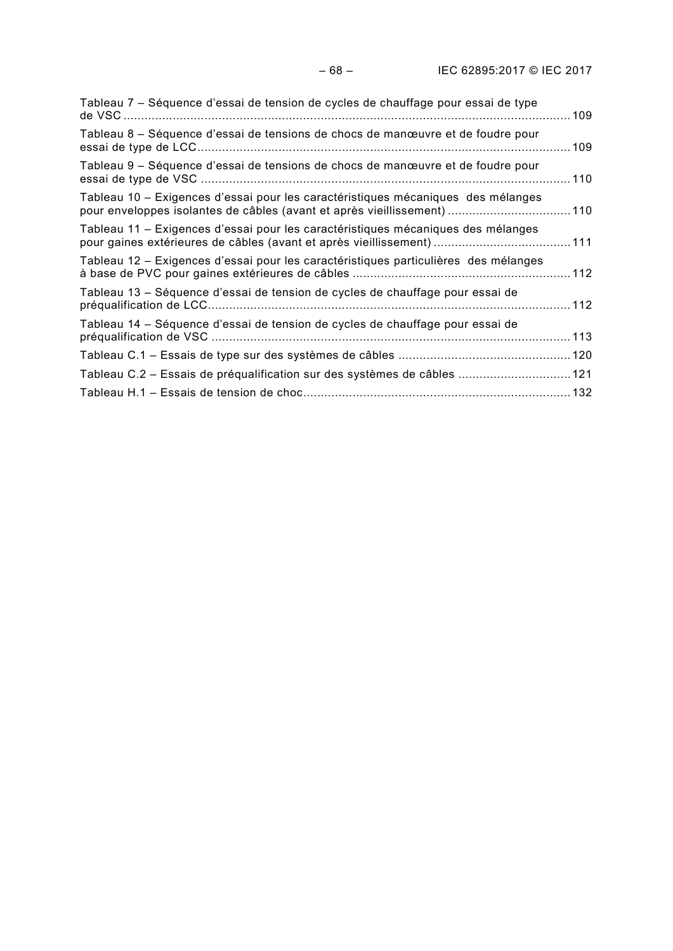| Tableau 7 – Séquence d'essai de tension de cycles de chauffage pour essai de type                                                                            | 109 |
|--------------------------------------------------------------------------------------------------------------------------------------------------------------|-----|
| Tableau 8 – Séquence d'essai de tensions de chocs de manœuvre et de foudre pour                                                                              |     |
| Tableau 9 – Séquence d'essai de tensions de chocs de manœuvre et de foudre pour                                                                              |     |
| Tableau 10 – Exigences d'essai pour les caractéristiques mécaniques des mélanges<br>pour enveloppes isolantes de câbles (avant et après vieillissement)  110 |     |
| Tableau 11 – Exigences d'essai pour les caractéristiques mécaniques des mélanges                                                                             |     |
| Tableau 12 – Exigences d'essai pour les caractéristiques particulières des mélanges                                                                          |     |
| Tableau 13 – Séquence d'essai de tension de cycles de chauffage pour essai de                                                                                |     |
| Tableau 14 – Séquence d'essai de tension de cycles de chauffage pour essai de                                                                                |     |
|                                                                                                                                                              |     |
| Tableau C.2 - Essais de préqualification sur des systèmes de câbles  121                                                                                     |     |
|                                                                                                                                                              |     |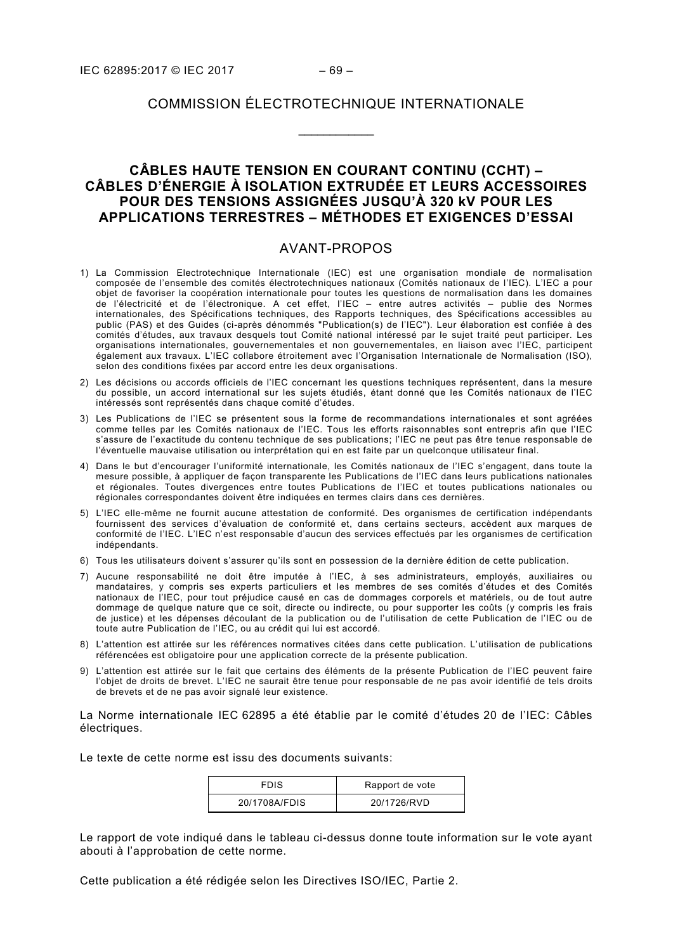#### COMMISSION ÉLECTROTECHNIQUE INTERNATIONALE

\_\_\_\_\_\_\_\_\_\_\_\_

# **CÂBLES HAUTE TENSION EN COURANT CONTINU (CCHT) – CÂBLES D'ÉNERGIE À ISOLATION EXTRUDÉE ET LEURS ACCESSOIRES POUR DES TENSIONS ASSIGNÉES JUSQU'À 320 kV POUR LES APPLICATIONS TERRESTRES – MÉTHODES ET EXIGENCES D'ESSAI**

#### AVANT-PROPOS

- <span id="page-16-0"></span>1) La Commission Electrotechnique Internationale (IEC) est une organisation mondiale de normalisation composée de l'ensemble des comités électrotechniques nationaux (Comités nationaux de l'IEC). L'IEC a pour objet de favoriser la coopération internationale pour toutes les questions de normalisation dans les domaines de l'électricité et de l'électronique. A cet effet, l'IEC – entre autres activités – publie des Normes internationales, des Spécifications techniques, des Rapports techniques, des Spécifications accessibles au public (PAS) et des Guides (ci-après dénommés "Publication(s) de l'IEC"). Leur élaboration est confiée à des comités d'études, aux travaux desquels tout Comité national intéressé par le sujet traité peut participer. Les organisations internationales, gouvernementales et non gouvernementales, en liaison avec l'IEC, participent également aux travaux. L'IEC collabore étroitement avec l'Organisation Internationale de Normalisation (ISO), selon des conditions fixées par accord entre les deux organisations.
- 2) Les décisions ou accords officiels de l'IEC concernant les questions techniques représentent, dans la mesure du possible, un accord international sur les sujets étudiés, étant donné que les Comités nationaux de l'IEC intéressés sont représentés dans chaque comité d'études.
- 3) Les Publications de l'IEC se présentent sous la forme de recommandations internationales et sont agréées comme telles par les Comités nationaux de l'IEC. Tous les efforts raisonnables sont entrepris afin que l'IEC s'assure de l'exactitude du contenu technique de ses publications; l'IEC ne peut pas être tenue responsable de l'éventuelle mauvaise utilisation ou interprétation qui en est faite par un quelconque utilisateur final.
- 4) Dans le but d'encourager l'uniformité internationale, les Comités nationaux de l'IEC s'engagent, dans toute la mesure possible, à appliquer de façon transparente les Publications de l'IEC dans leurs publications nationales et régionales. Toutes divergences entre toutes Publications de l'IEC et toutes publications nationales ou régionales correspondantes doivent être indiquées en termes clairs dans ces dernières.
- 5) L'IEC elle-même ne fournit aucune attestation de conformité. Des organismes de certification indépendants fournissent des services d'évaluation de conformité et, dans certains secteurs, accèdent aux marques de conformité de l'IEC. L'IEC n'est responsable d'aucun des services effectués par les organismes de certification indépendants.
- 6) Tous les utilisateurs doivent s'assurer qu'ils sont en possession de la dernière édition de cette publication.
- 7) Aucune responsabilité ne doit être imputée à l'IEC, à ses administrateurs, employés, auxiliaires ou mandataires, y compris ses experts particuliers et les membres de ses comités d'études et des Comités nationaux de l'IEC, pour tout préjudice causé en cas de dommages corporels et matériels, ou de tout autre dommage de quelque nature que ce soit, directe ou indirecte, ou pour supporter les coûts (y compris les frais de justice) et les dépenses découlant de la publication ou de l'utilisation de cette Publication de l'IEC ou de toute autre Publication de l'IEC, ou au crédit qui lui est accordé.
- 8) L'attention est attirée sur les références normatives citées dans cette publication. L'utilisation de publications référencées est obligatoire pour une application correcte de la présente publication.
- 9) L'attention est attirée sur le fait que certains des éléments de la présente Publication de l'IEC peuvent faire l'objet de droits de brevet. L'IEC ne saurait être tenue pour responsable de ne pas avoir identifié de tels droits de brevets et de ne pas avoir signalé leur existence.

La Norme internationale IEC 62895 a été établie par le comité d'études 20 de l'IEC: Câbles électriques.

Le texte de cette norme est issu des documents suivants:

| <b>FDIS</b>   | Rapport de vote |
|---------------|-----------------|
| 20/1708A/FDIS | 20/1726/RVD     |

Le rapport de vote indiqué dans le tableau ci-dessus donne toute information sur le vote ayant abouti à l'approbation de cette norme.

Cette publication a été rédigée selon les Directives ISO/IEC, Partie 2.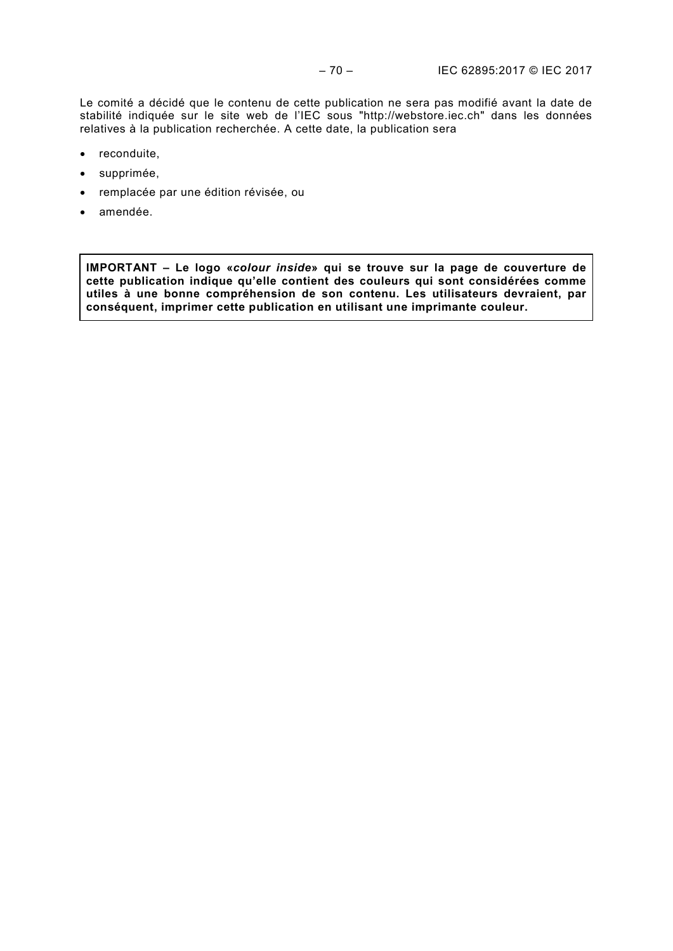Le comité a décidé que le contenu de cette publication ne sera pas modifié avant la date de stabilité indiquée sur le site web de l'IEC sous "http://webstore.iec.ch" dans les données relatives à la publication recherchée. A cette date, la publication sera

- reconduite,
- supprimée,
- remplacée par une édition révisée, ou
- amendée.

**IMPORTANT – Le logo «***colour inside***» qui se trouve sur la page de couverture de cette publication indique qu'elle contient des couleurs qui sont considérées comme utiles à une bonne compréhension de son contenu. Les utilisateurs devraient, par conséquent, imprimer cette publication en utilisant une imprimante couleur.**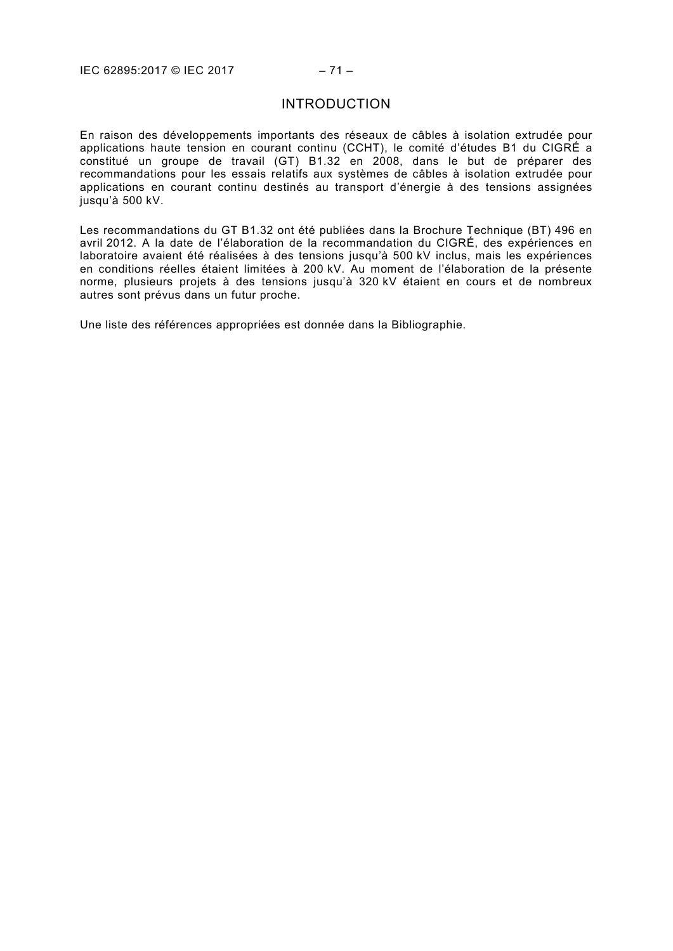#### INTRODUCTION

<span id="page-18-0"></span>En raison des développements importants des réseaux de câbles à isolation extrudée pour applications haute tension en courant continu (CCHT), le comité d'études B1 du CIGRÉ a constitué un groupe de travail (GT) B1.32 en 2008, dans le but de préparer des recommandations pour les essais relatifs aux systèmes de câbles à isolation extrudée pour applications en courant continu destinés au transport d'énergie à des tensions assignées jusqu'à 500 kV.

Les recommandations du GT B1.32 ont été publiées dans la Brochure Technique (BT) 496 en avril 2012. A la date de l'élaboration de la recommandation du CIGRÉ, des expériences en laboratoire avaient été réalisées à des tensions jusqu'à 500 kV inclus, mais les expériences en conditions réelles étaient limitées à 200 kV. Au moment de l'élaboration de la présente norme, plusieurs projets à des tensions jusqu'à 320 kV étaient en cours et de nombreux autres sont prévus dans un futur proche.

Une liste des références appropriées est donnée dans la Bibliographie.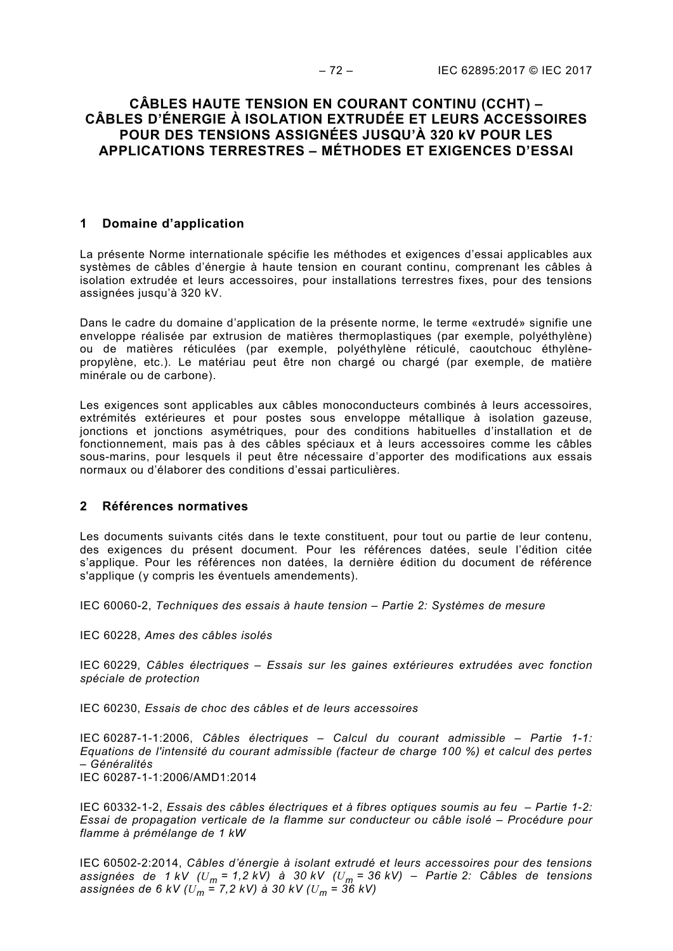### **CÂBLES HAUTE TENSION EN COURANT CONTINU (CCHT) – CÂBLES D'ÉNERGIE À ISOLATION EXTRUDÉE ET LEURS ACCESSOIRES POUR DES TENSIONS ASSIGNÉES JUSQU'À 320 kV POUR LES APPLICATIONS TERRESTRES – MÉTHODES ET EXIGENCES D'ESSAI**

#### <span id="page-19-0"></span>**1 Domaine d'application**

La présente Norme internationale spécifie les méthodes et exigences d'essai applicables aux systèmes de câbles d'énergie à haute tension en courant continu, comprenant les câbles à isolation extrudée et leurs accessoires, pour installations terrestres fixes, pour des tensions assignées jusqu'à 320 kV.

Dans le cadre du domaine d'application de la présente norme, le terme «extrudé» signifie une enveloppe réalisée par extrusion de matières thermoplastiques (par exemple, polyéthylène) ou de matières réticulées (par exemple, polyéthylène réticulé, caoutchouc éthylènepropylène, etc.). Le matériau peut être non chargé ou chargé (par exemple, de matière minérale ou de carbone).

Les exigences sont applicables aux câbles monoconducteurs combinés à leurs accessoires, extrémités extérieures et pour postes sous enveloppe métallique à isolation gazeuse, jonctions et jonctions asymétriques, pour des conditions habituelles d'installation et de fonctionnement, mais pas à des câbles spéciaux et à leurs accessoires comme les câbles sous-marins, pour lesquels il peut être nécessaire d'apporter des modifications aux essais normaux ou d'élaborer des conditions d'essai particulières.

#### <span id="page-19-1"></span>**2 Références normatives**

Les documents suivants cités dans le texte constituent, pour tout ou partie de leur contenu, des exigences du présent document. Pour les références datées, seule l'édition citée s'applique. Pour les références non datées, la dernière édition du document de référence s'applique (y compris les éventuels amendements).

IEC 60060-2, *Techniques des essais à haute tension – Partie 2: Systèmes de mesure*

IEC 60228, *Ames des câbles isolés*

IEC 60229, *Câbles électriques – Essais sur les gaines extérieures extrudées avec fonction spéciale de protection*

IEC 60230, *Essais de choc des câbles et de leurs accessoires*

IEC 60287-1-1:2006, *Câbles électriques – Calcul du courant admissible – Partie 1-1: Equations de l'intensité du courant admissible (facteur de charge 100 %) et calcul des pertes – Généralités* IEC 60287-1-1:2006/AMD1:2014

IEC 60332-1-2, *Essais des câbles électriques et à fibres optiques soumis au feu – Partie 1-2: Essai de propagation verticale de la flamme sur conducteur ou câble isolé – Procédure pour flamme à prémélange de 1 kW*

IEC 60502-2:2014, *Câbles d'énergie à isolant extrudé et leurs accessoires pour des tensions assignées de 1 kV (Um = 1,2 kV) à 30 kV (Um = 36 kV) – Partie 2: Câbles de tensions assignées de 6 kV (Um = 7,2 kV) à 30 kV (U<sup>m</sup> = 36 kV)*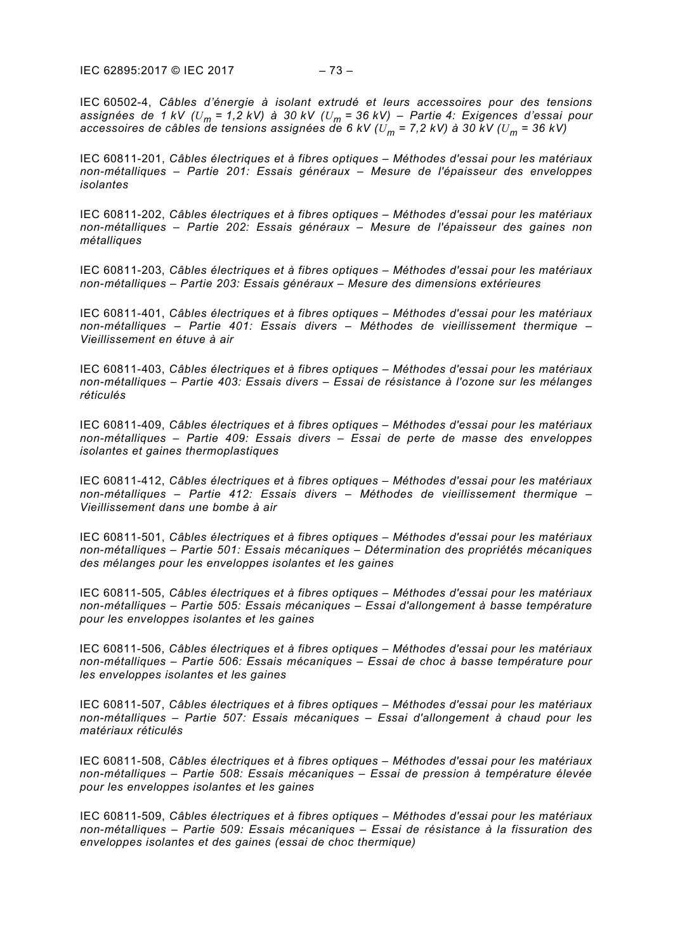IEC 62895:2017 © IEC 2017 – 73 –

IEC 60502-4, *Câbles d'énergie à isolant extrudé et leurs accessoires pour des tensions assignées de 1 kV (U<sup>m</sup> = 1,2 kV) à 30 kV (Um = 36 kV) – Partie 4: Exigences d'essai pour accessoires de câbles de tensions assignées de 6 kV (U<sup>m</sup> = 7,2 kV) à 30 kV (U<sup>m</sup> = 36 kV)*

IEC 60811-201, *Câbles électriques et à fibres optiques – Méthodes d'essai pour les matériaux non-métalliques – Partie 201: Essais généraux – Mesure de l'épaisseur des enveloppes isolantes*

IEC 60811-202, *Câbles électriques et à fibres optiques – Méthodes d'essai pour les matériaux non-métalliques – Partie 202: Essais généraux – Mesure de l'épaisseur des gaines non métalliques*

IEC 60811-203, *Câbles électriques et à fibres optiques – Méthodes d'essai pour les matériaux non-métalliques – Partie 203: Essais généraux – Mesure des dimensions extérieures*

IEC 60811-401, *Câbles électriques et à fibres optiques – Méthodes d'essai pour les matériaux non-métalliques – Partie 401: Essais divers – Méthodes de vieillissement thermique – Vieillissement en étuve à air*

IEC 60811-403, *Câbles électriques et à fibres optiques – Méthodes d'essai pour les matériaux non-métalliques – Partie 403: Essais divers – Essai de résistance à l'ozone sur les mélanges réticulés*

IEC 60811-409, *Câbles électriques et à fibres optiques – Méthodes d'essai pour les matériaux non-métalliques – Partie 409: Essais divers – Essai de perte de masse des enveloppes isolantes et gaines thermoplastiques*

IEC 60811-412, *Câbles électriques et à fibres optiques – Méthodes d'essai pour les matériaux non-métalliques – Partie 412: Essais divers – Méthodes de vieillissement thermique – Vieillissement dans une bombe à air*

IEC 60811-501, *Câbles électriques et à fibres optiques – Méthodes d'essai pour les matériaux non-métalliques – Partie 501: Essais mécaniques – Détermination des propriétés mécaniques des mélanges pour les enveloppes isolantes et les gaines*

IEC 60811-505, *Câbles électriques et à fibres optiques – Méthodes d'essai pour les matériaux non-métalliques – Partie 505: Essais mécaniques – Essai d'allongement à basse température pour les enveloppes isolantes et les gaines*

IEC 60811-506, *Câbles électriques et à fibres optiques – Méthodes d'essai pour les matériaux non-métalliques – Partie 506: Essais mécaniques – Essai de choc à basse température pour les enveloppes isolantes et les gaines*

IEC 60811-507, *Câbles électriques et à fibres optiques – Méthodes d'essai pour les matériaux non-métalliques – Partie 507: Essais mécaniques – Essai d'allongement à chaud pour les matériaux réticulés*

IEC 60811-508, *Câbles électriques et à fibres optiques – Méthodes d'essai pour les matériaux non-métalliques – Partie 508: Essais mécaniques – Essai de pression à température élevée pour les enveloppes isolantes et les gaines*

IEC 60811-509, *Câbles électriques et à fibres optiques – Méthodes d'essai pour les matériaux non-métalliques – Partie 509: Essais mécaniques – Essai de résistance à la fissuration des enveloppes isolantes et des gaines (essai de choc thermique)*